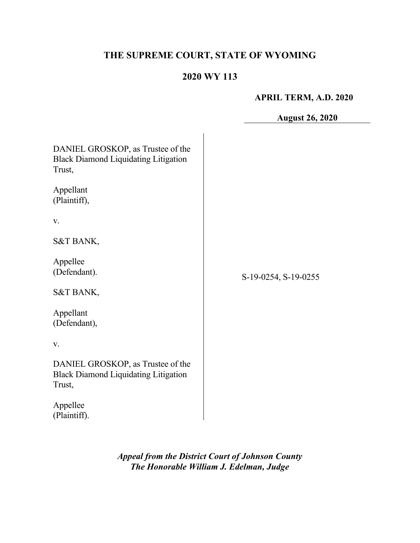# **THE SUPREME COURT, STATE OF WYOMING**

## **2020 WY 113**

#### **APRIL TERM, A.D. 2020**

**August 26, 2020**

| DANIEL GROSKOP, as Trustee of the<br><b>Black Diamond Liquidating Litigation</b><br>Trust, |                      |
|--------------------------------------------------------------------------------------------|----------------------|
| Appellant<br>(Plaintiff),                                                                  |                      |
| V.                                                                                         |                      |
| S&T BANK,                                                                                  |                      |
| Appellee<br>(Defendant).                                                                   | S-19-0254, S-19-0255 |
| S&T BANK,                                                                                  |                      |
| Appellant<br>(Defendant),                                                                  |                      |
| V.                                                                                         |                      |
| DANIEL GROSKOP, as Trustee of the<br><b>Black Diamond Liquidating Litigation</b><br>Trust, |                      |
| Appellee<br>(Plaintiff).                                                                   |                      |

*Appeal from the District Court of Johnson County The Honorable William J. Edelman, Judge*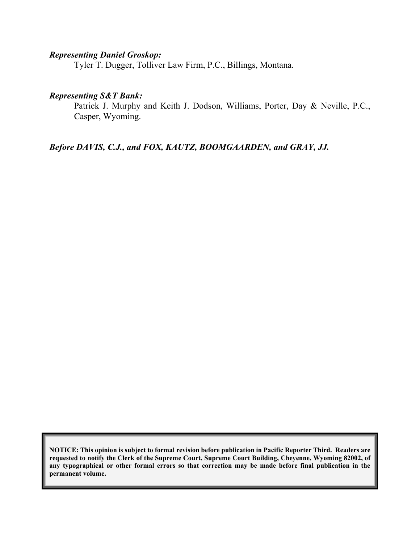#### *Representing Daniel Groskop:*

Tyler T. Dugger, Tolliver Law Firm, P.C., Billings, Montana.

#### *Representing S&T Bank:*

Patrick J. Murphy and Keith J. Dodson, Williams, Porter, Day & Neville, P.C., Casper, Wyoming.

*Before DAVIS, C.J., and FOX, KAUTZ, BOOMGAARDEN, and GRAY, JJ.*

**NOTICE: This opinion is subject to formal revision before publication in Pacific Reporter Third. Readers are requested to notify the Clerk of the Supreme Court, Supreme Court Building, Cheyenne, Wyoming 82002, of any typographical or other formal errors so that correction may be made before final publication in the permanent volume.**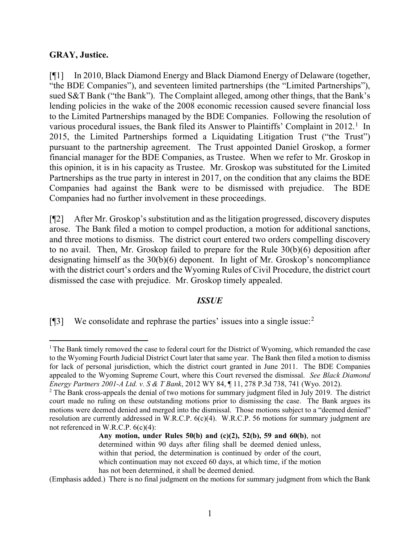#### **GRAY, Justice.**

[¶1] In 2010, Black Diamond Energy and Black Diamond Energy of Delaware (together, "the BDE Companies"), and seventeen limited partnerships (the "Limited Partnerships"), sued S&T Bank ("the Bank"). The Complaint alleged, among other things, that the Bank's lending policies in the wake of the 2008 economic recession caused severe financial loss to the Limited Partnerships managed by the BDE Companies. Following the resolution of various procedural issues, the Bank filed its Answer to Plaintiffs' Complaint in 20[1](#page-2-0)2.<sup>1</sup> In 2015, the Limited Partnerships formed a Liquidating Litigation Trust ("the Trust") pursuant to the partnership agreement. The Trust appointed Daniel Groskop, a former financial manager for the BDE Companies, as Trustee. When we refer to Mr. Groskop in this opinion, it is in his capacity as Trustee. Mr. Groskop was substituted for the Limited Partnerships as the true party in interest in 2017, on the condition that any claims the BDE Companies had against the Bank were to be dismissed with prejudice. The BDE Companies had no further involvement in these proceedings.

[¶2] After Mr. Groskop's substitution and as the litigation progressed, discovery disputes arose. The Bank filed a motion to compel production, a motion for additional sanctions, and three motions to dismiss. The district court entered two orders compelling discovery to no avail. Then, Mr. Groskop failed to prepare for the Rule 30(b)(6) deposition after designating himself as the 30(b)(6) deponent. In light of Mr. Groskop's noncompliance with the district court's orders and the Wyoming Rules of Civil Procedure, the district court dismissed the case with prejudice. Mr. Groskop timely appealed.

#### *ISSUE*

[ $[$ ]] We consolidate and rephrase the parties' issues into a single issue:<sup>[2](#page-2-1)</sup>

(Emphasis added.) There is no final judgment on the motions for summary judgment from which the Bank

<span id="page-2-0"></span><sup>&</sup>lt;sup>1</sup> The Bank timely removed the case to federal court for the District of Wyoming, which remanded the case to the Wyoming Fourth Judicial District Court later that same year. The Bank then filed a motion to dismiss for lack of personal jurisdiction, which the district court granted in June 2011. The BDE Companies appealed to the Wyoming Supreme Court, where this Court reversed the dismissal. *See Black Diamond Energy Partners 2001-A Ltd. v. S & T Bank*, 2012 WY 84, ¶ 11, 278 P.3d 738, 741 (Wyo. 2012).

<span id="page-2-1"></span><sup>&</sup>lt;sup>2</sup> The Bank cross-appeals the denial of two motions for summary judgment filed in July 2019. The district court made no ruling on these outstanding motions prior to dismissing the case. The Bank argues its motions were deemed denied and merged into the dismissal. Those motions subject to a "deemed denied" resolution are currently addressed in W.R.C.P. 6(c)(4). W.R.C.P. 56 motions for summary judgment are not referenced in W.R.C.P. 6(c)(4):

**Any motion, under Rules 50(b) and (c)(2), 52(b), 59 and 60(b)**, not determined within 90 days after filing shall be deemed denied unless, within that period, the determination is continued by order of the court, which continuation may not exceed 60 days, at which time, if the motion has not been determined, it shall be deemed denied.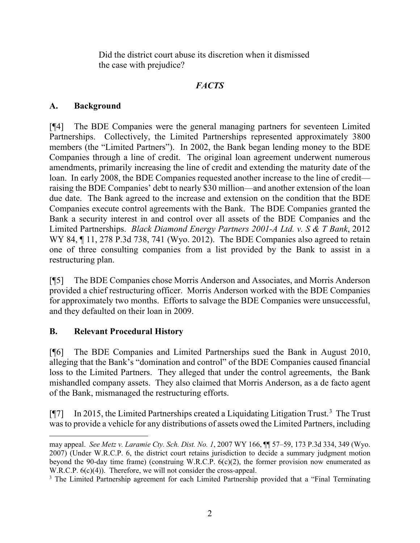Did the district court abuse its discretion when it dismissed the case with prejudice?

### *FACTS*

### **A. Background**

[¶4] The BDE Companies were the general managing partners for seventeen Limited Partnerships. Collectively, the Limited Partnerships represented approximately 3800 members (the "Limited Partners"). In 2002, the Bank began lending money to the BDE Companies through a line of credit. The original loan agreement underwent numerous amendments, primarily increasing the line of credit and extending the maturity date of the loan. In early 2008, the BDE Companies requested another increase to the line of credit raising the BDE Companies' debt to nearly \$30 million—and another extension of the loan due date. The Bank agreed to the increase and extension on the condition that the BDE Companies execute control agreements with the Bank. The BDE Companies granted the Bank a security interest in and control over all assets of the BDE Companies and the Limited Partnerships. *Black Diamond Energy Partners 2001-A Ltd. v. S & T Bank*, 2012 WY 84, ¶ 11, 278 P.3d 738, 741 (Wyo. 2012). The BDE Companies also agreed to retain one of three consulting companies from a list provided by the Bank to assist in a restructuring plan.

[¶5] The BDE Companies chose Morris Anderson and Associates, and Morris Anderson provided a chief restructuring officer. Morris Anderson worked with the BDE Companies for approximately two months. Efforts to salvage the BDE Companies were unsuccessful, and they defaulted on their loan in 2009.

## **B. Relevant Procedural History**

[¶6] The BDE Companies and Limited Partnerships sued the Bank in August 2010, alleging that the Bank's "domination and control" of the BDE Companies caused financial loss to the Limited Partners. They alleged that under the control agreements, the Bank mishandled company assets. They also claimed that Morris Anderson, as a de facto agent of the Bank, mismanaged the restructuring efforts.

[¶7] In 2015, the Limited Partnerships created a Liquidating Litigation Trust.<sup>[3](#page-3-0)</sup> The Trust was to provide a vehicle for any distributions of assets owed the Limited Partners, including

may appeal. *See Metz v. Laramie Cty. Sch. Dist. No. 1*, 2007 WY 166, ¶¶ 57–59, 173 P.3d 334, 349 (Wyo. 2007) (Under W.R.C.P. 6, the district court retains jurisdiction to decide a summary judgment motion beyond the 90-day time frame) (construing W.R.C.P.  $6(c)(2)$ , the former provision now enumerated as W.R.C.P.  $6(c)(4)$ ). Therefore, we will not consider the cross-appeal.

<span id="page-3-0"></span><sup>&</sup>lt;sup>3</sup> The Limited Partnership agreement for each Limited Partnership provided that a "Final Terminating"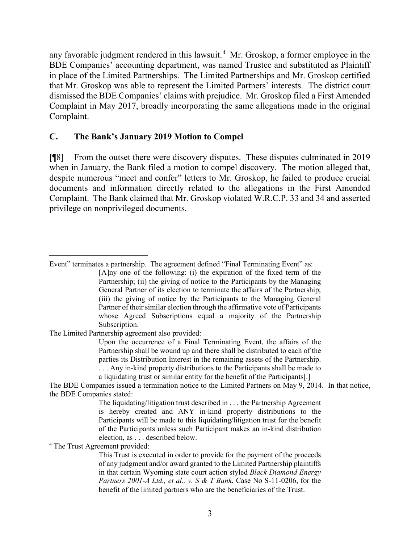any favorable judgment rendered in this lawsuit.<sup>[4](#page-4-0)</sup> Mr. Groskop, a former employee in the BDE Companies' accounting department, was named Trustee and substituted as Plaintiff in place of the Limited Partnerships. The Limited Partnerships and Mr. Groskop certified that Mr. Groskop was able to represent the Limited Partners' interests. The district court dismissed the BDE Companies' claims with prejudice. Mr. Groskop filed a First Amended Complaint in May 2017, broadly incorporating the same allegations made in the original Complaint.

#### **C. The Bank's January 2019 Motion to Compel**

[¶8] From the outset there were discovery disputes. These disputes culminated in 2019 when in January, the Bank filed a motion to compel discovery. The motion alleged that, despite numerous "meet and confer" letters to Mr. Groskop, he failed to produce crucial documents and information directly related to the allegations in the First Amended Complaint. The Bank claimed that Mr. Groskop violated W.R.C.P. 33 and 34 and asserted privilege on nonprivileged documents.

The Limited Partnership agreement also provided:

Upon the occurrence of a Final Terminating Event, the affairs of the Partnership shall be wound up and there shall be distributed to each of the parties its Distribution Interest in the remaining assets of the Partnership. . . . Any in-kind property distributions to the Participants shall be made to a liquidating trust or similar entity for the benefit of the Participants[.]

<span id="page-4-0"></span><sup>4</sup> The Trust Agreement provided:

Event" terminates a partnership. The agreement defined "Final Terminating Event" as: [A]ny one of the following: (i) the expiration of the fixed term of the Partnership; (ii) the giving of notice to the Participants by the Managing General Partner of its election to terminate the affairs of the Partnership; (iii) the giving of notice by the Participants to the Managing General Partner of their similar election through the affirmative vote of Participants whose Agreed Subscriptions equal a majority of the Partnership Subscription.

The BDE Companies issued a termination notice to the Limited Partners on May 9, 2014. In that notice, the BDE Companies stated:

The liquidating/litigation trust described in . . . the Partnership Agreement is hereby created and ANY in-kind property distributions to the Participants will be made to this liquidating/litigation trust for the benefit of the Participants unless such Participant makes an in-kind distribution election, as . . . described below.

This Trust is executed in order to provide for the payment of the proceeds of any judgment and/or award granted to the Limited Partnership plaintiffs in that certain Wyoming state court action styled *Black Diamond Energy Partners 2001-A Ltd., et al., v. S & T Bank*, Case No S-11-0206, for the benefit of the limited partners who are the beneficiaries of the Trust.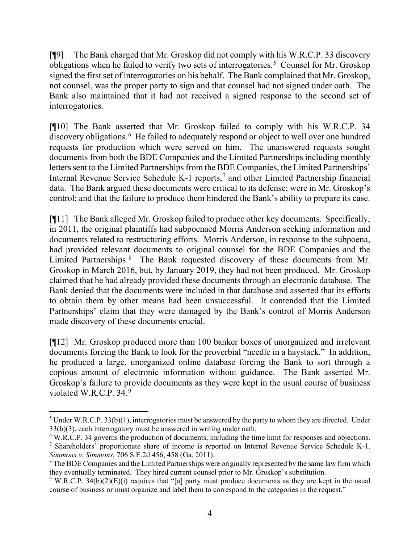[¶9] The Bank charged that Mr. Groskop did not comply with his W.R.C.P. 33 discovery obligations when he failed to verify two sets of interrogatories.<sup>[5](#page-5-0)</sup> Counsel for Mr. Groskop signed the first set of interrogatories on his behalf. The Bank complained that Mr. Groskop, not counsel, was the proper party to sign and that counsel had not signed under oath. The Bank also maintained that it had not received a signed response to the second set of interrogatories.

[¶10] The Bank asserted that Mr. Groskop failed to comply with his W.R.C.P. 34 discovery obligations.<sup>[6](#page-5-1)</sup> He failed to adequately respond or object to well over one hundred requests for production which were served on him. The unanswered requests sought documents from both the BDE Companies and the Limited Partnerships including monthly letters sent to the Limited Partnerships from the BDE Companies, the Limited Partnerships' Internal Revenue Service Schedule K-1 reports,<sup>[7](#page-5-2)</sup> and other Limited Partnership financial data. The Bank argued these documents were critical to its defense; were in Mr. Groskop's control; and that the failure to produce them hindered the Bank's ability to prepare its case.

[¶11] The Bank alleged Mr. Groskop failed to produce other key documents. Specifically, in 2011, the original plaintiffs had subpoenaed Morris Anderson seeking information and documents related to restructuring efforts. Morris Anderson, in response to the subpoena, had provided relevant documents to original counsel for the BDE Companies and the Limited Partnerships.<sup>[8](#page-5-3)</sup> The Bank requested discovery of these documents from Mr. Groskop in March 2016, but, by January 2019, they had not been produced. Mr. Groskop claimed that he had already provided these documents through an electronic database. The Bank denied that the documents were included in that database and asserted that its efforts to obtain them by other means had been unsuccessful. It contended that the Limited Partnerships' claim that they were damaged by the Bank's control of Morris Anderson made discovery of these documents crucial.

[¶12] Mr. Groskop produced more than 100 banker boxes of unorganized and irrelevant documents forcing the Bank to look for the proverbial "needle in a haystack." In addition, he produced a large, unorganized online database forcing the Bank to sort through a copious amount of electronic information without guidance. The Bank asserted Mr. Groskop's failure to provide documents as they were kept in the usual course of business violated W.R.C.P. 34.<sup>[9](#page-5-4)</sup>

<span id="page-5-0"></span> $5$  Under W.R.C.P. 33(b)(1), interrogatories must be answered by the party to whom they are directed. Under 33(b)(3), each interrogatory must be answered in writing under oath.

<span id="page-5-1"></span><sup>&</sup>lt;sup>6</sup> W.R.C.P. 34 governs the production of documents, including the time limit for responses and objections.

<span id="page-5-2"></span><sup>7</sup> Shareholders' proportionate share of income is reported on Internal Revenue Service Schedule K-1. *Simmons v. Simmons*, 706 S.E.2d 456, 458 (Ga. 2011).

<span id="page-5-3"></span><sup>&</sup>lt;sup>8</sup> The BDE Companies and the Limited Partnerships were originally represented by the same law firm which they eventually terminated. They hired current counsel prior to Mr. Groskop's substitution.

<span id="page-5-4"></span> $9$  W.R.C.P. 34(b)(2)(E)(i) requires that "[a] party must produce documents as they are kept in the usual course of business or must organize and label them to correspond to the categories in the request."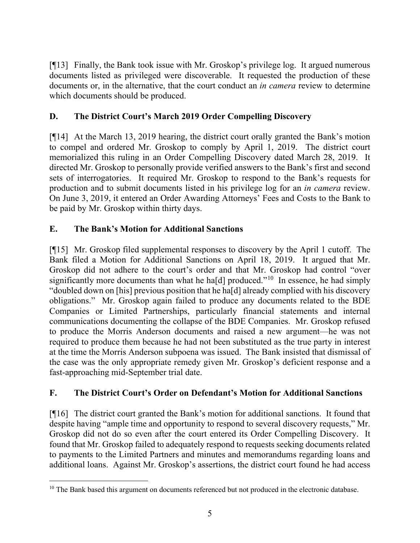[¶13] Finally, the Bank took issue with Mr. Groskop's privilege log. It argued numerous documents listed as privileged were discoverable. It requested the production of these documents or, in the alternative, that the court conduct an *in camera* review to determine which documents should be produced.

## **D. The District Court's March 2019 Order Compelling Discovery**

[¶14] At the March 13, 2019 hearing, the district court orally granted the Bank's motion to compel and ordered Mr. Groskop to comply by April 1, 2019. The district court memorialized this ruling in an Order Compelling Discovery dated March 28, 2019. It directed Mr. Groskop to personally provide verified answers to the Bank's first and second sets of interrogatories. It required Mr. Groskop to respond to the Bank's requests for production and to submit documents listed in his privilege log for an *in camera* review. On June 3, 2019, it entered an Order Awarding Attorneys' Fees and Costs to the Bank to be paid by Mr. Groskop within thirty days.

## **E. The Bank's Motion for Additional Sanctions**

[¶15] Mr. Groskop filed supplemental responses to discovery by the April 1 cutoff. The Bank filed a Motion for Additional Sanctions on April 18, 2019. It argued that Mr. Groskop did not adhere to the court's order and that Mr. Groskop had control "over significantly more documents than what he ha[d] produced."<sup>[10](#page-6-0)</sup> In essence, he had simply "doubled down on [his] previous position that he ha[d] already complied with his discovery obligations." Mr. Groskop again failed to produce any documents related to the BDE Companies or Limited Partnerships, particularly financial statements and internal communications documenting the collapse of the BDE Companies. Mr. Groskop refused to produce the Morris Anderson documents and raised a new argument—he was not required to produce them because he had not been substituted as the true party in interest at the time the Morris Anderson subpoena was issued. The Bank insisted that dismissal of the case was the only appropriate remedy given Mr. Groskop's deficient response and a fast-approaching mid-September trial date.

### **F. The District Court's Order on Defendant's Motion for Additional Sanctions**

[¶16] The district court granted the Bank's motion for additional sanctions. It found that despite having "ample time and opportunity to respond to several discovery requests," Mr. Groskop did not do so even after the court entered its Order Compelling Discovery. It found that Mr. Groskop failed to adequately respond to requests seeking documents related to payments to the Limited Partners and minutes and memorandums regarding loans and additional loans. Against Mr. Groskop's assertions, the district court found he had access

<span id="page-6-0"></span><sup>&</sup>lt;sup>10</sup> The Bank based this argument on documents referenced but not produced in the electronic database.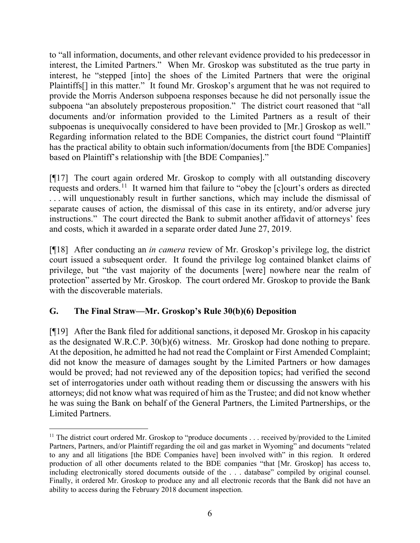to "all information, documents, and other relevant evidence provided to his predecessor in interest, the Limited Partners." When Mr. Groskop was substituted as the true party in interest, he "stepped [into] the shoes of the Limited Partners that were the original Plaintiffs[] in this matter." It found Mr. Groskop's argument that he was not required to provide the Morris Anderson subpoena responses because he did not personally issue the subpoena "an absolutely preposterous proposition." The district court reasoned that "all documents and/or information provided to the Limited Partners as a result of their subpoenas is unequivocally considered to have been provided to [Mr.] Groskop as well." Regarding information related to the BDE Companies, the district court found "Plaintiff has the practical ability to obtain such information/documents from [the BDE Companies] based on Plaintiff's relationship with [the BDE Companies]."

[¶17] The court again ordered Mr. Groskop to comply with all outstanding discovery requests and orders.[11](#page-7-0) It warned him that failure to "obey the [c]ourt's orders as directed . . . will unquestionably result in further sanctions, which may include the dismissal of separate causes of action, the dismissal of this case in its entirety, and/or adverse jury instructions." The court directed the Bank to submit another affidavit of attorneys' fees and costs, which it awarded in a separate order dated June 27, 2019.

[¶18] After conducting an *in camera* review of Mr. Groskop's privilege log, the district court issued a subsequent order. It found the privilege log contained blanket claims of privilege, but "the vast majority of the documents [were] nowhere near the realm of protection" asserted by Mr. Groskop. The court ordered Mr. Groskop to provide the Bank with the discoverable materials.

### **G. The Final Straw—Mr. Groskop's Rule 30(b)(6) Deposition**

[¶19] After the Bank filed for additional sanctions, it deposed Mr. Groskop in his capacity as the designated W.R.C.P. 30(b)(6) witness. Mr. Groskop had done nothing to prepare. At the deposition, he admitted he had not read the Complaint or First Amended Complaint; did not know the measure of damages sought by the Limited Partners or how damages would be proved; had not reviewed any of the deposition topics; had verified the second set of interrogatories under oath without reading them or discussing the answers with his attorneys; did not know what was required of him as the Trustee; and did not know whether he was suing the Bank on behalf of the General Partners, the Limited Partnerships, or the Limited Partners.

<span id="page-7-0"></span><sup>&</sup>lt;sup>11</sup> The district court ordered Mr. Groskop to "produce documents . . . received by/provided to the Limited Partners, Partners, and/or Plaintiff regarding the oil and gas market in Wyoming" and documents "related to any and all litigations [the BDE Companies have] been involved with" in this region. It ordered production of all other documents related to the BDE companies "that [Mr. Groskop] has access to, including electronically stored documents outside of the . . . database" compiled by original counsel. Finally, it ordered Mr. Groskop to produce any and all electronic records that the Bank did not have an ability to access during the February 2018 document inspection.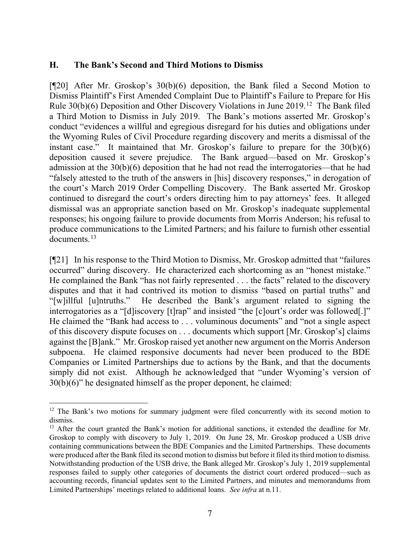#### **H. The Bank's Second and Third Motions to Dismiss**

[¶20] After Mr. Groskop's 30(b)(6) deposition, the Bank filed a Second Motion to Dismiss Plaintiff's First Amended Complaint Due to Plaintiff's Failure to Prepare for His Rule 30(b)(6) Deposition and Other Discovery Violations in June 2019.<sup>[12](#page-8-0)</sup> The Bank filed a Third Motion to Dismiss in July 2019. The Bank's motions asserted Mr. Groskop's conduct "evidences a willful and egregious disregard for his duties and obligations under the Wyoming Rules of Civil Procedure regarding discovery and merits a dismissal of the instant case." It maintained that Mr. Groskop's failure to prepare for the 30(b)(6) deposition caused it severe prejudice. The Bank argued—based on Mr. Groskop's admission at the 30(b)(6) deposition that he had not read the interrogatories—that he had "falsely attested to the truth of the answers in [his] discovery responses," in derogation of the court's March 2019 Order Compelling Discovery. The Bank asserted Mr. Groskop continued to disregard the court's orders directing him to pay attorneys' fees. It alleged dismissal was an appropriate sanction based on Mr. Groskop's inadequate supplemental responses; his ongoing failure to provide documents from Morris Anderson; his refusal to produce communications to the Limited Partners; and his failure to furnish other essential documents. [13](#page-8-1)

[¶21] In his response to the Third Motion to Dismiss, Mr. Groskop admitted that "failures occurred" during discovery. He characterized each shortcoming as an "honest mistake." He complained the Bank "has not fairly represented . . . the facts" related to the discovery disputes and that it had contrived its motion to dismiss "based on partial truths" and "[w]illful [u]ntruths." He described the Bank's argument related to signing the interrogatories as a "[d]iscovery [t]rap" and insisted "the [c]ourt's order was followed[.]" He claimed the "Bank had access to . . . voluminous documents" and "not a single aspect of this discovery dispute focuses on . . . documents which support [Mr. Groskop's] claims against the [B]ank." Mr. Groskop raised yet another new argument on the Morris Anderson subpoena. He claimed responsive documents had never been produced to the BDE Companies or Limited Partnerships due to actions by the Bank, and that the documents simply did not exist. Although he acknowledged that "under Wyoming's version of 30(b)(6)" he designated himself as the proper deponent, he claimed:

<span id="page-8-0"></span> $12$  The Bank's two motions for summary judgment were filed concurrently with its second motion to dismiss.

<span id="page-8-1"></span><sup>&</sup>lt;sup>13</sup> After the court granted the Bank's motion for additional sanctions, it extended the deadline for Mr. Groskop to comply with discovery to July 1, 2019. On June 28, Mr. Groskop produced a USB drive containing communications between the BDE Companies and the Limited Partnerships. These documents were produced after the Bank filed its second motion to dismiss but before it filed its third motion to dismiss. Notwithstanding production of the USB drive, the Bank alleged Mr. Groskop's July 1, 2019 supplemental responses failed to supply other categories of documents the district court ordered produced—such as accounting records, financial updates sent to the Limited Partners, and minutes and memorandums from Limited Partnerships' meetings related to additional loans. *See infra* at n.11.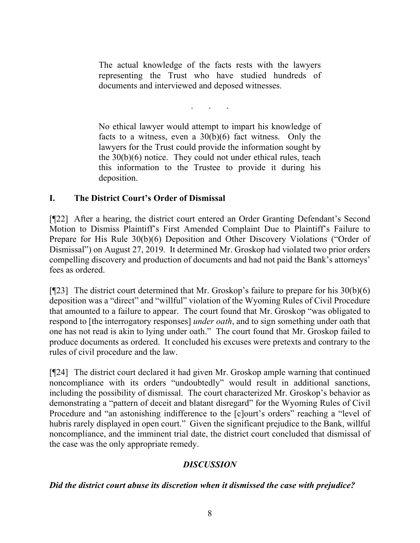The actual knowledge of the facts rests with the lawyers representing the Trust who have studied hundreds of documents and interviewed and deposed witnesses.

. . .

No ethical lawyer would attempt to impart his knowledge of facts to a witness, even a  $30(b)(6)$  fact witness. Only the lawyers for the Trust could provide the information sought by the  $30(b)(6)$  notice. They could not under ethical rules, teach this information to the Trustee to provide it during his deposition.

### **I. The District Court's Order of Dismissal**

[¶22] After a hearing, the district court entered an Order Granting Defendant's Second Motion to Dismiss Plaintiff's First Amended Complaint Due to Plaintiff's Failure to Prepare for His Rule 30(b)(6) Deposition and Other Discovery Violations ("Order of Dismissal") on August 27, 2019. It determined Mr. Groskop had violated two prior orders compelling discovery and production of documents and had not paid the Bank's attorneys' fees as ordered.

[ $[$ 23] The district court determined that Mr. Groskop's failure to prepare for his  $30(b)(6)$ deposition was a "direct" and "willful" violation of the Wyoming Rules of Civil Procedure that amounted to a failure to appear. The court found that Mr. Groskop "was obligated to respond to [the interrogatory responses] *under oath*, and to sign something under oath that one has not read is akin to lying under oath." The court found that Mr. Groskop failed to produce documents as ordered. It concluded his excuses were pretexts and contrary to the rules of civil procedure and the law.

[¶24] The district court declared it had given Mr. Groskop ample warning that continued noncompliance with its orders "undoubtedly" would result in additional sanctions, including the possibility of dismissal. The court characterized Mr. Groskop's behavior as demonstrating a "pattern of deceit and blatant disregard" for the Wyoming Rules of Civil Procedure and "an astonishing indifference to the [c]ourt's orders" reaching a "level of hubris rarely displayed in open court." Given the significant prejudice to the Bank, willful noncompliance, and the imminent trial date, the district court concluded that dismissal of the case was the only appropriate remedy.

### *DISCUSSION*

#### *Did the district court abuse its discretion when it dismissed the case with prejudice?*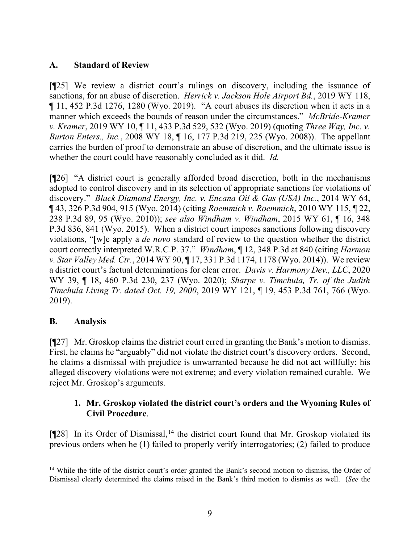### **A. Standard of Review**

[¶25] We review a district court's rulings on discovery, including the issuance of sanctions, for an abuse of discretion. *Herrick v. Jackson Hole Airport Bd.*, 2019 WY 118, ¶ 11, 452 P.3d 1276, 1280 (Wyo. 2019). "A court abuses its discretion when it acts in a manner which exceeds the bounds of reason under the circumstances." *McBride-Kramer v. Kramer*, 2019 WY 10, ¶ 11, 433 P.3d 529, 532 (Wyo. 2019) (quoting *Three Way, Inc. v. Burton Enters., Inc.*, 2008 WY 18, ¶ 16, 177 P.3d 219, 225 (Wyo. 2008)). The appellant carries the burden of proof to demonstrate an abuse of discretion, and the ultimate issue is whether the court could have reasonably concluded as it did. *Id.*

[¶26] "A district court is generally afforded broad discretion, both in the mechanisms adopted to control discovery and in its selection of appropriate sanctions for violations of discovery." *Black Diamond Energy, Inc. v. Encana Oil & Gas (USA) Inc.*, 2014 WY 64, ¶ 43, 326 P.3d 904, 915 (Wyo. 2014) (citing *Roemmich v. Roemmich*, 2010 WY 115, ¶ 22, 238 P.3d 89, 95 (Wyo. 2010)); *see also Windham v. Windham*, 2015 WY 61, ¶ 16, 348 P.3d 836, 841 (Wyo. 2015). When a district court imposes sanctions following discovery violations, "[w]e apply a *de novo* standard of review to the question whether the district court correctly interpreted W.R.C.P. 37." *Windham*, ¶ 12, 348 P.3d at 840 (citing *Harmon v. Star Valley Med. Ctr.*, 2014 WY 90, ¶ 17, 331 P.3d 1174, 1178 (Wyo. 2014)). We review a district court's factual determinations for clear error. *Davis v. Harmony Dev., LLC*, 2020 WY 39, ¶ 18, 460 P.3d 230, 237 (Wyo. 2020); *Sharpe v. Timchula, Tr. of the Judith Timchula Living Tr. dated Oct. 19, 2000*, 2019 WY 121, ¶ 19, 453 P.3d 761, 766 (Wyo. 2019).

### **B. Analysis**

[¶27] Mr. Groskop claims the district court erred in granting the Bank's motion to dismiss. First, he claims he "arguably" did not violate the district court's discovery orders. Second, he claims a dismissal with prejudice is unwarranted because he did not act willfully; his alleged discovery violations were not extreme; and every violation remained curable. We reject Mr. Groskop's arguments.

#### **1. Mr. Groskop violated the district court's orders and the Wyoming Rules of Civil Procedure**.

[¶28] In its Order of Dismissal,<sup>[14](#page-10-0)</sup> the district court found that Mr. Groskop violated its previous orders when he (1) failed to properly verify interrogatories; (2) failed to produce

<span id="page-10-0"></span><sup>&</sup>lt;sup>14</sup> While the title of the district court's order granted the Bank's second motion to dismiss, the Order of Dismissal clearly determined the claims raised in the Bank's third motion to dismiss as well. (*See* the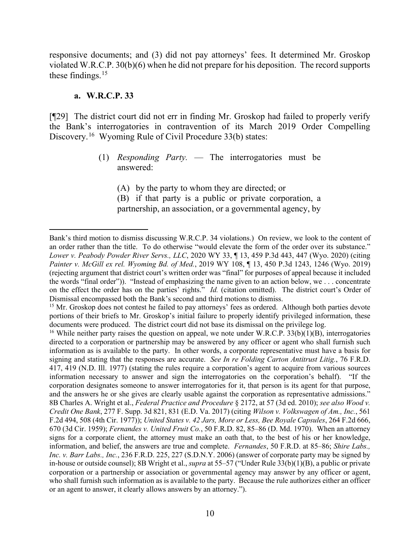responsive documents; and (3) did not pay attorneys' fees. It determined Mr. Groskop violated W.R.C.P. 30(b)(6) when he did not prepare for his deposition. The record supports these findings.<sup>[15](#page-11-0)</sup>

#### **a. W.R.C.P. 33**

[¶29] The district court did not err in finding Mr. Groskop had failed to properly verify the Bank's interrogatories in contravention of its March 2019 Order Compelling Discovery. [16](#page-11-1) Wyoming Rule of Civil Procedure 33(b) states:

> (1) *Responding Party.* — The interrogatories must be answered:

(A) by the party to whom they are directed; or (B) if that party is a public or private corporation, a partnership, an association, or a governmental agency, by

Bank's third motion to dismiss discussing W.R.C.P. 34 violations.) On review, we look to the content of an order rather than the title. To do otherwise "would elevate the form of the order over its substance." *Lower v. Peabody Powder River Servs., LLC*, 2020 WY 33, ¶ 13, 459 P.3d 443, 447 (Wyo. 2020) (citing *Painter v. McGill ex rel. Wyoming Bd. of Med.*, 2019 WY 108, ¶ 13, 450 P.3d 1243, 1246 (Wyo. 2019) (rejecting argument that district court's written order was "final" for purposes of appeal because it included the words "final order")). "Instead of emphasizing the name given to an action below, we . . . concentrate on the effect the order has on the parties' rights." *Id.* (citation omitted). The district court's Order of Dismissal encompassed both the Bank's second and third motions to dismiss.

<span id="page-11-0"></span><sup>&</sup>lt;sup>15</sup> Mr. Groskop does not contest he failed to pay attorneys' fees as ordered. Although both parties devote portions of their briefs to Mr. Groskop's initial failure to properly identify privileged information, these documents were produced. The district court did not base its dismissal on the privilege log.<br><sup>16</sup> While neither party raises the question on appeal, we note under W.R.C.P. 33(b)(1)(B), interrogatories

<span id="page-11-1"></span>directed to a corporation or partnership may be answered by any officer or agent who shall furnish such information as is available to the party. In other words, a corporate representative must have a basis for signing and stating that the responses are accurate. *See In re Folding Carton Antitrust Litig.*, 76 F.R.D. 417, 419 (N.D. Ill. 1977) (stating the rules require a corporation's agent to acquire from various sources information necessary to answer and sign the interrogatories on the corporation's behalf). "If the corporation designates someone to answer interrogatories for it, that person is its agent for that purpose, and the answers he or she gives are clearly usable against the corporation as representative admissions." 8B Charles A. Wright et al., *Federal Practice and Procedure* § 2172, at 57 (3d ed. 2010); *see also Wood v. Credit One Bank*, 277 F. Supp. 3d 821, 831 (E.D. Va. 2017) (citing *Wilson v. Volkswagen of Am., Inc.*, 561 F.2d 494, 508 (4th Cir. 1977)); *United States v. 42 Jars, More or Less, Bee Royale Capsules*, 264 F.2d 666, 670 (3d Cir. 1959); *Fernandes v. United Fruit Co.*, 50 F.R.D. 82, 85–86 (D. Md. 1970). When an attorney signs for a corporate client, the attorney must make an oath that, to the best of his or her knowledge, information, and belief, the answers are true and complete. *Fernandes*, 50 F.R.D. at 85–86; *Shire Labs., Inc. v. Barr Labs., Inc.*, 236 F.R.D. 225, 227 (S.D.N.Y. 2006) (answer of corporate party may be signed by in-house or outside counsel); 8B Wright et al., *supra* at 55–57 ("Under Rule 33(b)(1)(B), a public or private corporation or a partnership or association or governmental agency may answer by any officer or agent, who shall furnish such information as is available to the party. Because the rule authorizes either an officer or an agent to answer, it clearly allows answers by an attorney.").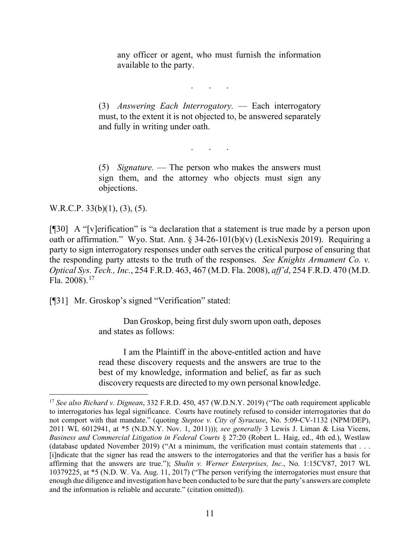any officer or agent, who must furnish the information available to the party.

. . .

(3) *Answering Each Interrogatory.* — Each interrogatory must, to the extent it is not objected to, be answered separately and fully in writing under oath.

. . .

(5) *Signature.* — The person who makes the answers must sign them, and the attorney who objects must sign any objections.

W.R.C.P. 33(b)(1), (3), (5).

[¶30] A "[v]erification" is "a declaration that a statement is true made by a person upon oath or affirmation." Wyo. Stat. Ann. § 34-26-101(b)(v) (LexisNexis 2019). Requiring a party to sign interrogatory responses under oath serves the critical purpose of ensuring that the responding party attests to the truth of the responses. *See Knights Armament Co. v. Optical Sys. Tech., Inc.*, 254 F.R.D. 463, 467 (M.D. Fla. 2008), *aff'd*, 254 F.R.D. 470 (M.D. Fla. 2008). [17](#page-12-0)

[¶31] Mr. Groskop's signed "Verification" stated:

Dan Groskop, being first duly sworn upon oath, deposes and states as follows:

I am the Plaintiff in the above-entitled action and have read these discovery requests and the answers are true to the best of my knowledge, information and belief, as far as such discovery requests are directed to my own personal knowledge.

<span id="page-12-0"></span><sup>17</sup> *See also Richard v. Dignean*, 332 F.R.D. 450, 457 (W.D.N.Y. 2019) ("The oath requirement applicable to interrogatories has legal significance. Courts have routinely refused to consider interrogatories that do not comport with that mandate." (quoting *Steptoe v. City of Syracuse*, No. 5:09-CV-1132 (NPM/DEP), 2011 WL 6012941, at \*5 (N.D.N.Y. Nov. 1, 2011))); *see generally* 3 Lewis J. Liman & Lisa Vicens, *Business and Commercial Litigation in Federal Courts* § 27:20 (Robert L. Haig, ed., 4th ed.), Westlaw (database updated November 2019) ("At a minimum, the verification must contain statements that . . . [i]ndicate that the signer has read the answers to the interrogatories and that the verifier has a basis for affirming that the answers are true."); *Shulin v. Werner Enterprises, Inc.*, No. 1:15CV87, 2017 WL 10379225, at \*5 (N.D. W. Va. Aug. 11, 2017) ("The person verifying the interrogatories must ensure that enough due diligence and investigation have been conducted to be sure that the party's answers are complete and the information is reliable and accurate." (citation omitted)).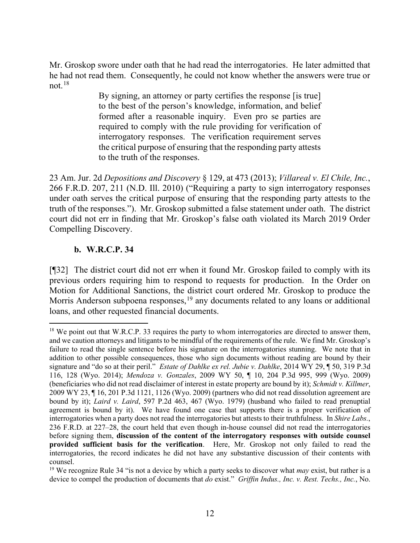Mr. Groskop swore under oath that he had read the interrogatories. He later admitted that he had not read them. Consequently, he could not know whether the answers were true or not. [18](#page-13-0)

> By signing, an attorney or party certifies the response [is true] to the best of the person's knowledge, information, and belief formed after a reasonable inquiry. Even pro se parties are required to comply with the rule providing for verification of interrogatory responses. The verification requirement serves the critical purpose of ensuring that the responding party attests to the truth of the responses.

23 Am. Jur. 2d *Depositions and Discovery* § 129, at 473 (2013); *Villareal v. El Chile, Inc.*, 266 F.R.D. 207, 211 (N.D. Ill. 2010) ("Requiring a party to sign interrogatory responses under oath serves the critical purpose of ensuring that the responding party attests to the truth of the responses."). Mr. Groskop submitted a false statement under oath. The district court did not err in finding that Mr. Groskop's false oath violated its March 2019 Order Compelling Discovery.

#### **b. W.R.C.P. 34**

[¶32] The district court did not err when it found Mr. Groskop failed to comply with its previous orders requiring him to respond to requests for production. In the Order on Motion for Additional Sanctions, the district court ordered Mr. Groskop to produce the Morris Anderson subpoena responses,<sup>[19](#page-13-1)</sup> any documents related to any loans or additional loans, and other requested financial documents.

<span id="page-13-0"></span><sup>&</sup>lt;sup>18</sup> We point out that W.R.C.P. 33 requires the party to whom interrogatories are directed to answer them, and we caution attorneys and litigants to be mindful of the requirements of the rule. We find Mr. Groskop's failure to read the single sentence before his signature on the interrogatories stunning. We note that in addition to other possible consequences, those who sign documents without reading are bound by their signature and "do so at their peril." *Estate of Dahlke ex rel. Jubie v. Dahlke*, 2014 WY 29, ¶ 50, 319 P.3d 116, 128 (Wyo. 2014); *Mendoza v. Gonzales*, 2009 WY 50, ¶ 10, 204 P.3d 995, 999 (Wyo. 2009) (beneficiaries who did not read disclaimer of interest in estate property are bound by it); *Schmidt v. Killmer*, 2009 WY 23, ¶ 16, 201 P.3d 1121, 1126 (Wyo. 2009) (partners who did not read dissolution agreement are bound by it); *Laird v. Laird*, 597 P.2d 463, 467 (Wyo. 1979) (husband who failed to read prenuptial agreement is bound by it). We have found one case that supports there is a proper verification of interrogatories when a party does not read the interrogatories but attests to their truthfulness. In *Shire Labs.*, 236 F.R.D. at 227–28, the court held that even though in-house counsel did not read the interrogatories before signing them, **discussion of the content of the interrogatory responses with outside counsel provided sufficient basis for the verification**. Here, Mr. Groskop not only failed to read the interrogatories, the record indicates he did not have any substantive discussion of their contents with counsel.

<span id="page-13-1"></span><sup>19</sup> We recognize Rule 34 "is not a device by which a party seeks to discover what *may* exist, but rather is a device to compel the production of documents that *do* exist." *Griffin Indus., Inc. v. Rest. Techs., Inc.*, No.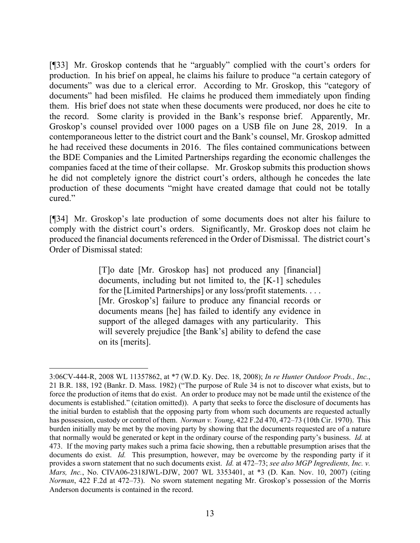[¶33] Mr. Groskop contends that he "arguably" complied with the court's orders for production. In his brief on appeal, he claims his failure to produce "a certain category of documents" was due to a clerical error. According to Mr. Groskop, this "category of documents" had been misfiled. He claims he produced them immediately upon finding them. His brief does not state when these documents were produced, nor does he cite to the record. Some clarity is provided in the Bank's response brief. Apparently, Mr. Groskop's counsel provided over 1000 pages on a USB file on June 28, 2019. In a contemporaneous letter to the district court and the Bank's counsel, Mr. Groskop admitted he had received these documents in 2016. The files contained communications between the BDE Companies and the Limited Partnerships regarding the economic challenges the companies faced at the time of their collapse. Mr. Groskop submits this production shows he did not completely ignore the district court's orders, although he concedes the late production of these documents "might have created damage that could not be totally cured."

[¶34] Mr. Groskop's late production of some documents does not alter his failure to comply with the district court's orders. Significantly, Mr. Groskop does not claim he produced the financial documents referenced in the Order of Dismissal. The district court's Order of Dismissal stated:

> [T]o date [Mr. Groskop has] not produced any [financial] documents, including but not limited to, the [K-1] schedules for the [Limited Partnerships] or any loss/profit statements. . . . [Mr. Groskop's] failure to produce any financial records or documents means [he] has failed to identify any evidence in support of the alleged damages with any particularity. This will severely prejudice [the Bank's] ability to defend the case on its [merits].

<sup>3:06</sup>CV-444-R, 2008 WL 11357862, at \*7 (W.D. Ky. Dec. 18, 2008); *In re Hunter Outdoor Prods., Inc.*, 21 B.R. 188, 192 (Bankr. D. Mass. 1982) ("The purpose of Rule 34 is not to discover what exists, but to force the production of items that do exist. An order to produce may not be made until the existence of the documents is established." (citation omitted)). A party that seeks to force the disclosure of documents has the initial burden to establish that the opposing party from whom such documents are requested actually has possession, custody or control of them. *Norman v. Young*, 422 F.2d 470, 472–73 (10th Cir. 1970). This burden initially may be met by the moving party by showing that the documents requested are of a nature that normally would be generated or kept in the ordinary course of the responding party's business. *Id.* at 473. If the moving party makes such a prima facie showing, then a rebuttable presumption arises that the documents do exist. *Id.* This presumption, however, may be overcome by the responding party if it provides a sworn statement that no such documents exist. *Id.* at 472–73; *see also MGP Ingredients, Inc. v. Mars, Inc.*, No. CIVA06-2318JWL-DJW, 2007 WL 3353401, at \*3 (D. Kan. Nov. 10, 2007) (citing *Norman*, 422 F.2d at 472–73). No sworn statement negating Mr. Groskop's possession of the Morris Anderson documents is contained in the record.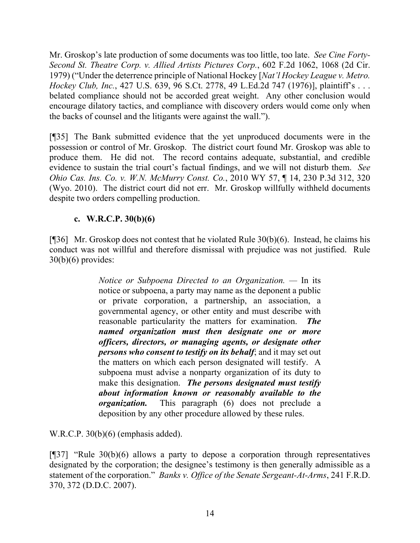Mr. Groskop's late production of some documents was too little, too late. *See Cine Forty-Second St. Theatre Corp. v. Allied Artists Pictures Corp.*, 602 F.2d 1062, 1068 (2d Cir. 1979) ("Under the deterrence principle of National Hockey [*Nat'l Hockey League v. Metro. Hockey Club, Inc.*, 427 U.S. 639, 96 S.Ct. 2778, 49 L.Ed.2d 747 (1976)], plaintiff's . . . belated compliance should not be accorded great weight. Any other conclusion would encourage dilatory tactics, and compliance with discovery orders would come only when the backs of counsel and the litigants were against the wall.").

[¶35] The Bank submitted evidence that the yet unproduced documents were in the possession or control of Mr. Groskop. The district court found Mr. Groskop was able to produce them. He did not. The record contains adequate, substantial, and credible evidence to sustain the trial court's factual findings, and we will not disturb them. *See Ohio Cas. Ins. Co. v. W.N. McMurry Const. Co.*, 2010 WY 57, ¶ 14, 230 P.3d 312, 320 (Wyo. 2010). The district court did not err. Mr. Groskop willfully withheld documents despite two orders compelling production.

### **c. W.R.C.P. 30(b)(6)**

[¶36] Mr. Groskop does not contest that he violated Rule 30(b)(6). Instead, he claims his conduct was not willful and therefore dismissal with prejudice was not justified. Rule  $30(b)(6)$  provides:

> *Notice or Subpoena Directed to an Organization. —* In its notice or subpoena, a party may name as the deponent a public or private corporation, a partnership, an association, a governmental agency, or other entity and must describe with reasonable particularity the matters for examination. *The named organization must then designate one or more officers, directors, or managing agents, or designate other persons who consent to testify on its behalf*; and it may set out the matters on which each person designated will testify. A subpoena must advise a nonparty organization of its duty to make this designation. *The persons designated must testify about information known or reasonably available to the organization.* This paragraph (6) does not preclude a deposition by any other procedure allowed by these rules.

W.R.C.P. 30(b)(6) (emphasis added).

[¶37] "Rule 30(b)(6) allows a party to depose a corporation through representatives designated by the corporation; the designee's testimony is then generally admissible as a statement of the corporation." *Banks v. Office of the Senate Sergeant-At-Arms*, 241 F.R.D. 370, 372 (D.D.C. 2007).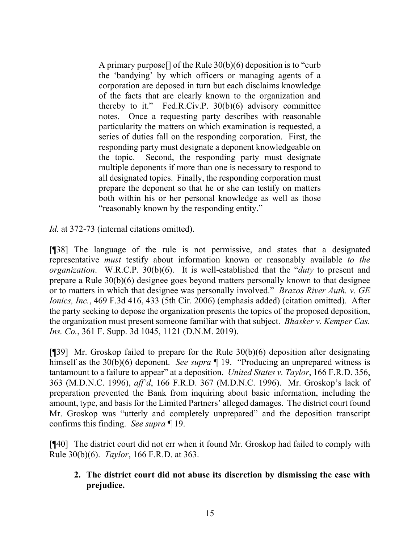A primary purpose[] of the Rule 30(b)(6) deposition is to "curb the 'bandying' by which officers or managing agents of a corporation are deposed in turn but each disclaims knowledge of the facts that are clearly known to the organization and thereby to it." Fed.R.Civ.P. 30(b)(6) advisory committee notes. Once a requesting party describes with reasonable particularity the matters on which examination is requested, a series of duties fall on the responding corporation. First, the responding party must designate a deponent knowledgeable on the topic. Second, the responding party must designate multiple deponents if more than one is necessary to respond to all designated topics. Finally, the responding corporation must prepare the deponent so that he or she can testify on matters both within his or her personal knowledge as well as those "reasonably known by the responding entity."

*Id.* at 372-73 (internal citations omitted).

[¶38] The language of the rule is not permissive, and states that a designated representative *must* testify about information known or reasonably available *to the organization*. W.R.C.P. 30(b)(6). It is well-established that the "*duty* to present and prepare a Rule 30(b)(6) designee goes beyond matters personally known to that designee or to matters in which that designee was personally involved." *Brazos River Auth. v. GE Ionics, Inc.*, 469 F.3d 416, 433 (5th Cir. 2006) (emphasis added) (citation omitted). After the party seeking to depose the organization presents the topics of the proposed deposition, the organization must present someone familiar with that subject. *Bhasker v. Kemper Cas. Ins. Co.*, 361 F. Supp. 3d 1045, 1121 (D.N.M. 2019).

[¶39] Mr. Groskop failed to prepare for the Rule 30(b)(6) deposition after designating himself as the 30(b)(6) deponent.*See supra* ¶ 19. "Producing an unprepared witness is tantamount to a failure to appear" at a deposition. *United States v. Taylor*, 166 F.R.D. 356, 363 (M.D.N.C. 1996), *aff'd*, 166 F.R.D. 367 (M.D.N.C. 1996). Mr. Groskop's lack of preparation prevented the Bank from inquiring about basic information, including the amount, type, and basis for the Limited Partners' alleged damages. The district court found Mr. Groskop was "utterly and completely unprepared" and the deposition transcript confirms this finding. *See supra* ¶ 19.

[¶40] The district court did not err when it found Mr. Groskop had failed to comply with Rule 30(b)(6). *Taylor*, 166 F.R.D. at 363.

**2. The district court did not abuse its discretion by dismissing the case with prejudice.**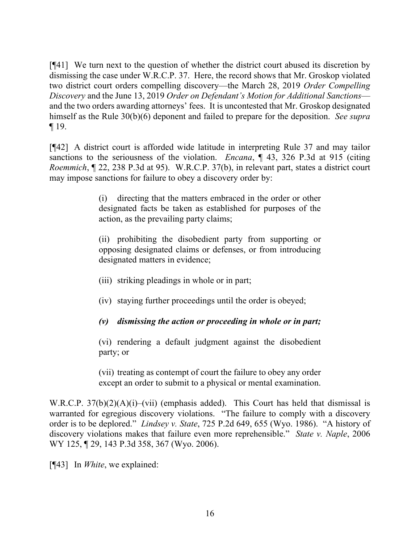[¶41] We turn next to the question of whether the district court abused its discretion by dismissing the case under W.R.C.P. 37. Here, the record shows that Mr. Groskop violated two district court orders compelling discovery—the March 28, 2019 *Order Compelling Discovery* and the June 13, 2019 *Order on Defendant's Motion for Additional Sanctions* and the two orders awarding attorneys' fees. It is uncontested that Mr. Groskop designated himself as the Rule 30(b)(6) deponent and failed to prepare for the deposition. *See supra*  ¶ 19.

[¶42] A district court is afforded wide latitude in interpreting Rule 37 and may tailor sanctions to the seriousness of the violation. *Encana*, ¶ 43, 326 P.3d at 915 (citing *Roemmich*, ¶ 22, 238 P.3d at 95). W.R.C.P. 37(b), in relevant part, states a district court may impose sanctions for failure to obey a discovery order by:

> (i) directing that the matters embraced in the order or other designated facts be taken as established for purposes of the action, as the prevailing party claims;

> (ii) prohibiting the disobedient party from supporting or opposing designated claims or defenses, or from introducing designated matters in evidence;

- (iii) striking pleadings in whole or in part;
- (iv) staying further proceedings until the order is obeyed;

### *(v) dismissing the action or proceeding in whole or in part;*

(vi) rendering a default judgment against the disobedient party; or

(vii) treating as contempt of court the failure to obey any order except an order to submit to a physical or mental examination.

W.R.C.P. 37(b)(2)(A)(i)–(vii) (emphasis added). This Court has held that dismissal is warranted for egregious discovery violations. "The failure to comply with a discovery order is to be deplored." *Lindsey v. State*, 725 P.2d 649, 655 (Wyo. 1986). "A history of discovery violations makes that failure even more reprehensible." *State v. Naple*, 2006 WY 125, ¶ 29, 143 P.3d 358, 367 (Wyo. 2006).

[¶43] In *White*, we explained: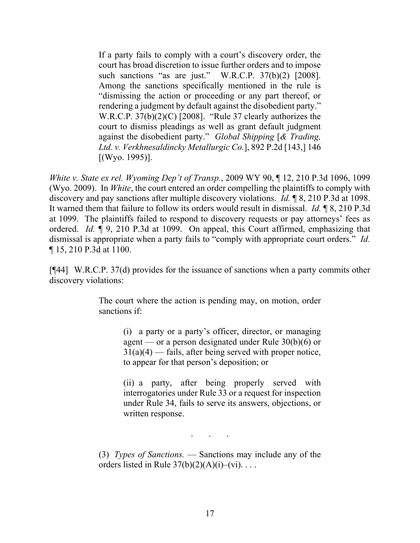If a party fails to comply with a court's discovery order, the court has broad discretion to issue further orders and to impose such sanctions "as are just." W.R.C.P. 37(b)(2) [2008]. Among the sanctions specifically mentioned in the rule is "dismissing the action or proceeding or any part thereof, or rendering a judgment by default against the disobedient party." W.R.C.P. 37(b)(2)(C) [2008]. "Rule 37 clearly authorizes the court to dismiss pleadings as well as grant default judgment against the disobedient party." *Global Shipping* [*& Trading, Ltd. v. Verkhnesaldincky Metallurgic Co.*], 892 P.2d [143,] 146 [(Wyo. 1995)].

*White v. State ex rel. Wyoming Dep't of Transp.*, 2009 WY 90, ¶ 12, 210 P.3d 1096, 1099 (Wyo. 2009). In *White*, the court entered an order compelling the plaintiffs to comply with discovery and pay sanctions after multiple discovery violations. *Id.* ¶ 8, 210 P.3d at 1098. It warned them that failure to follow its orders would result in dismissal. *Id.* ¶ 8, 210 P.3d at 1099. The plaintiffs failed to respond to discovery requests or pay attorneys' fees as ordered. *Id.* ¶ 9, 210 P.3d at 1099. On appeal, this Court affirmed, emphasizing that dismissal is appropriate when a party fails to "comply with appropriate court orders." *Id.* ¶ 15, 210 P.3d at 1100.

[¶44] W.R.C.P. 37(d) provides for the issuance of sanctions when a party commits other discovery violations:

> The court where the action is pending may, on motion, order sanctions if:

> > (i) a party or a party's officer, director, or managing agent — or a person designated under Rule 30(b)(6) or  $31(a)(4)$  — fails, after being served with proper notice, to appear for that person's deposition; or

> > (ii) a party, after being properly served with interrogatories under Rule 33 or a request for inspection under Rule 34, fails to serve its answers, objections, or written response.

> > > . . .

(3) *Types of Sanctions.* — Sanctions may include any of the orders listed in Rule  $37(b)(2)(A)(i)$ –(vi)...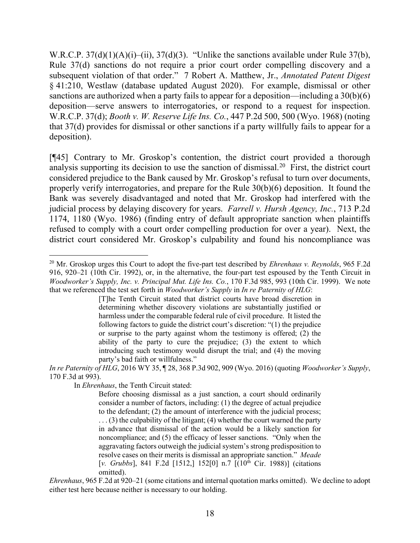W.R.C.P. 37(d)(1)(A)(i)–(ii), 37(d)(3). "Unlike the sanctions available under Rule 37(b), Rule 37(d) sanctions do not require a prior court order compelling discovery and a subsequent violation of that order." 7 Robert A. Matthew, Jr., *Annotated Patent Digest* § 41:210, Westlaw (database updated August 2020). For example, dismissal or other sanctions are authorized when a party fails to appear for a deposition—including a 30(b)(6) deposition—serve answers to interrogatories, or respond to a request for inspection. W.R.C.P. 37(d); *Booth v. W. Reserve Life Ins. Co.*, 447 P.2d 500, 500 (Wyo. 1968) (noting that 37(d) provides for dismissal or other sanctions if a party willfully fails to appear for a deposition).

[¶45] Contrary to Mr. Groskop's contention, the district court provided a thorough analysis supporting its decision to use the sanction of dismissal.<sup>[20](#page-19-0)</sup> First, the district court considered prejudice to the Bank caused by Mr. Groskop's refusal to turn over documents, properly verify interrogatories, and prepare for the Rule 30(b)(6) deposition. It found the Bank was severely disadvantaged and noted that Mr. Groskop had interfered with the judicial process by delaying discovery for years. *Farrell v. Hursh Agency, Inc.*, 713 P.2d 1174, 1180 (Wyo. 1986) (finding entry of default appropriate sanction when plaintiffs refused to comply with a court order compelling production for over a year). Next, the district court considered Mr. Groskop's culpability and found his noncompliance was

*In re Paternity of HLG*, 2016 WY 35, ¶ 28, 368 P.3d 902, 909 (Wyo. 2016) (quoting *Woodworker's Supply*, 170 F.3d at 993).

In *Ehrenhaus*, the Tenth Circuit stated:

*Ehrenhaus*, 965 F.2d at 920–21 (some citations and internal quotation marks omitted). We decline to adopt either test here because neither is necessary to our holding.

<span id="page-19-0"></span><sup>20</sup> Mr. Groskop urges this Court to adopt the five-part test described by *Ehrenhaus v. Reynolds*, 965 F.2d 916, 920–21 (10th Cir. 1992), or, in the alternative, the four-part test espoused by the Tenth Circuit in *Woodworker's Supply, Inc. v. Principal Mut. Life Ins. Co.*, 170 F.3d 985, 993 (10th Cir. 1999). We note that we referenced the test set forth in *Woodworker's Supply* in *In re Paternity of HLG*:

<sup>[</sup>T]he Tenth Circuit stated that district courts have broad discretion in determining whether discovery violations are substantially justified or harmless under the comparable federal rule of civil procedure. It listed the following factors to guide the district court's discretion: "(1) the prejudice or surprise to the party against whom the testimony is offered; (2) the ability of the party to cure the prejudice; (3) the extent to which introducing such testimony would disrupt the trial; and (4) the moving party's bad faith or willfulness."

Before choosing dismissal as a just sanction, a court should ordinarily consider a number of factors, including: (1) the degree of actual prejudice to the defendant; (2) the amount of interference with the judicial process;  $\ldots$  (3) the culpability of the litigant; (4) whether the court warned the party in advance that dismissal of the action would be a likely sanction for noncompliance; and (5) the efficacy of lesser sanctions. "Only when the aggravating factors outweigh the judicial system's strong predisposition to resolve cases on their merits is dismissal an appropriate sanction." *Meade* [v. Grubbs], 841 F.2d [1512,] 152[0] n.7  $[(10<sup>th</sup> Cir. 1988)]$  (citations omitted).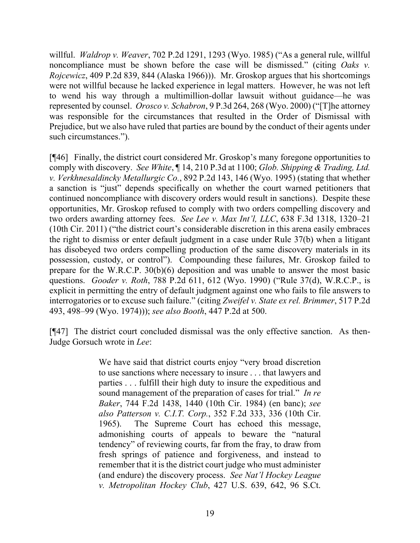willful. *Waldrop v. Weaver*, 702 P.2d 1291, 1293 (Wyo. 1985) ("As a general rule, willful noncompliance must be shown before the case will be dismissed." (citing *Oaks v. Rojcewicz*, 409 P.2d 839, 844 (Alaska 1966))). Mr. Groskop argues that his shortcomings were not willful because he lacked experience in legal matters. However, he was not left to wend his way through a multimillion-dollar lawsuit without guidance—he was represented by counsel. *Orosco v. Schabron*, 9 P.3d 264, 268 (Wyo. 2000) ("[T]he attorney was responsible for the circumstances that resulted in the Order of Dismissal with Prejudice, but we also have ruled that parties are bound by the conduct of their agents under such circumstances.").

[¶46] Finally, the district court considered Mr. Groskop's many foregone opportunities to comply with discovery. *See White*, ¶ 14, 210 P.3d at 1100; *Glob. Shipping & Trading, Ltd. v. Verkhnesaldincky Metallurgic Co.*, 892 P.2d 143, 146 (Wyo. 1995) (stating that whether a sanction is "just" depends specifically on whether the court warned petitioners that continued noncompliance with discovery orders would result in sanctions). Despite these opportunities, Mr. Groskop refused to comply with two orders compelling discovery and two orders awarding attorney fees. *See Lee v. Max Int'l, LLC*, 638 F.3d 1318, 1320–21 (10th Cir. 2011) ("the district court's considerable discretion in this arena easily embraces the right to dismiss or enter default judgment in a case under Rule 37(b) when a litigant has disobeyed two orders compelling production of the same discovery materials in its possession, custody, or control"). Compounding these failures, Mr. Groskop failed to prepare for the W.R.C.P. 30(b)(6) deposition and was unable to answer the most basic questions. *Gooder v. Roth*, 788 P.2d 611, 612 (Wyo. 1990) ("Rule 37(d), W.R.C.P., is explicit in permitting the entry of default judgment against one who fails to file answers to interrogatories or to excuse such failure." (citing *Zweifel v. State ex rel. Brimmer*, 517 P.2d 493, 498–99 (Wyo. 1974))); *see also Booth*, 447 P.2d at 500.

[¶47] The district court concluded dismissal was the only effective sanction. As then-Judge Gorsuch wrote in *Lee*:

> We have said that district courts enjoy "very broad discretion to use sanctions where necessary to insure . . . that lawyers and parties . . . fulfill their high duty to insure the expeditious and sound management of the preparation of cases for trial." *In re Baker*, 744 F.2d 1438, 1440 (10th Cir. 1984) (en banc); *see also Patterson v. C.I.T. Corp.*, 352 F.2d 333, 336 (10th Cir. 1965). The Supreme Court has echoed this message, admonishing courts of appeals to beware the "natural tendency" of reviewing courts, far from the fray, to draw from fresh springs of patience and forgiveness, and instead to remember that it is the district court judge who must administer (and endure) the discovery process. *See Nat'l Hockey League v. Metropolitan Hockey Club*, 427 U.S. 639, 642, 96 S.Ct.